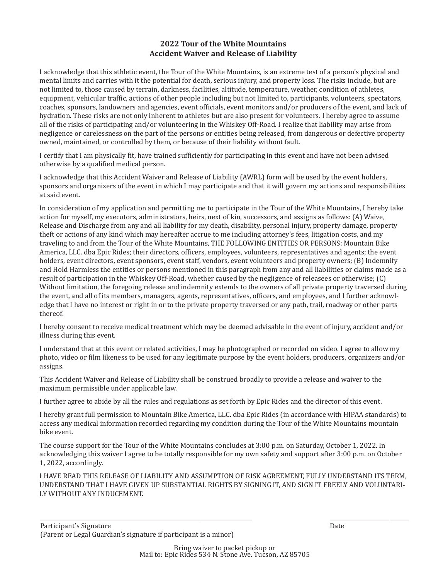## **2022 Tour of the White Mountains Accident Waiver and Release of Liability**

I acknowledge that this athletic event, the Tour of the White Mountains, is an extreme test of a person's physical and mental limits and carries with it the potential for death, serious injury, and property loss. The risks include, but are not limited to, those caused by terrain, darkness, facilities, altitude, temperature, weather, condition of athletes, equipment, vehicular traf�ic, actions of other people including but not limited to, participants, volunteers, spectators, coaches, sponsors, landowners and agencies, event of�icials, event monitors and/or producers of the event, and lack of hydration. These risks are not only inherent to athletes but are also present for volunteers. I hereby agree to assume all of the risks of participating and/or volunteering in the Whiskey Off-Road. I realize that liability may arise from negligence or carelessness on the part of the persons or entities being released, from dangerous or defective property owned, maintained, or controlled by them, or because of their liability without fault.

I certify that I am physically �it, have trained suf�iciently for participating in this event and have not been advised otherwise by a qualified medical person.

I acknowledge that this Accident Waiver and Release of Liability (AWRL) form will be used by the event holders, sponsors and organizers of the event in which I may participate and that it will govern my actions and responsibilities at said event.

In consideration of my application and permitting me to participate in the Tour of the White Mountains, I hereby take action for myself, my executors, administrators, heirs, next of kin, successors, and assigns as follows: (A) Waive, Release and Discharge from any and all liability for my death, disability, personal injury, property damage, property theft or actions of any kind which may hereafter accrue to me including attorney's fees, litigation costs, and my traveling to and from the Tour of the White Mountains, THE FOLLOWING ENTITIES OR PERSONS: Mountain Bike America, LLC. dba Epic Rides; their directors, officers, employees, volunteers, representatives and agents; the event holders, event directors, event sponsors, event staff, vendors, event volunteers and property owners; (B) Indemnify and Hold Harmless the entities or persons mentioned in this paragraph from any and all liabilities or claims made as a result of participation in the Whiskey Off-Road, whether caused by the negligence of releasees or otherwise; (C) Without limitation, the foregoing release and indemnity extends to the owners of all private property traversed during the event, and all of its members, managers, agents, representatives, officers, and employees, and I further acknowledge that I have no interest or right in or to the private property traversed or any path, trail, roadway or other parts thereof.

I hereby consent to receive medical treatment which may be deemed advisable in the event of injury, accident and/or illness during this event.

I understand that at this event or related activities, I may be photographed or recorded on video. I agree to allow my photo, video or �ilm likeness to be used for any legitimate purpose by the event holders, producers, organizers and/or assigns.

This Accident Waiver and Release of Liability shall be construed broadly to provide a release and waiver to the maximum permissible under applicable law.

I further agree to abide by all the rules and regulations as set forth by Epic Rides and the director of this event.

I hereby grant full permission to Mountain Bike America, LLC. dba Epic Rides (in accordance with HIPAA standards) to access any medical information recorded regarding my condition during the Tour of the White Mountains mountain bike event.

The course support for the Tour of the White Mountains concludes at 3:00 p.m. on Saturday, October 1, 2022. In acknowledging this waiver I agree to be totally responsible for my own safety and support after 3:00 p.m. on October 1, 2022, accordingly.

I HAVE READ THIS RELEASE OF LIABILITY AND ASSUMPTION OF RISK AGREEMENT, FULLY UNDERSTAND ITS TERM, UNDERSTAND THAT I HAVE GIVEN UP SUBSTANTIAL RIGHTS BY SIGNING IT, AND SIGN IT FREELY AND VOLUNTARI-LY WITHOUT ANY INDUCEMENT.